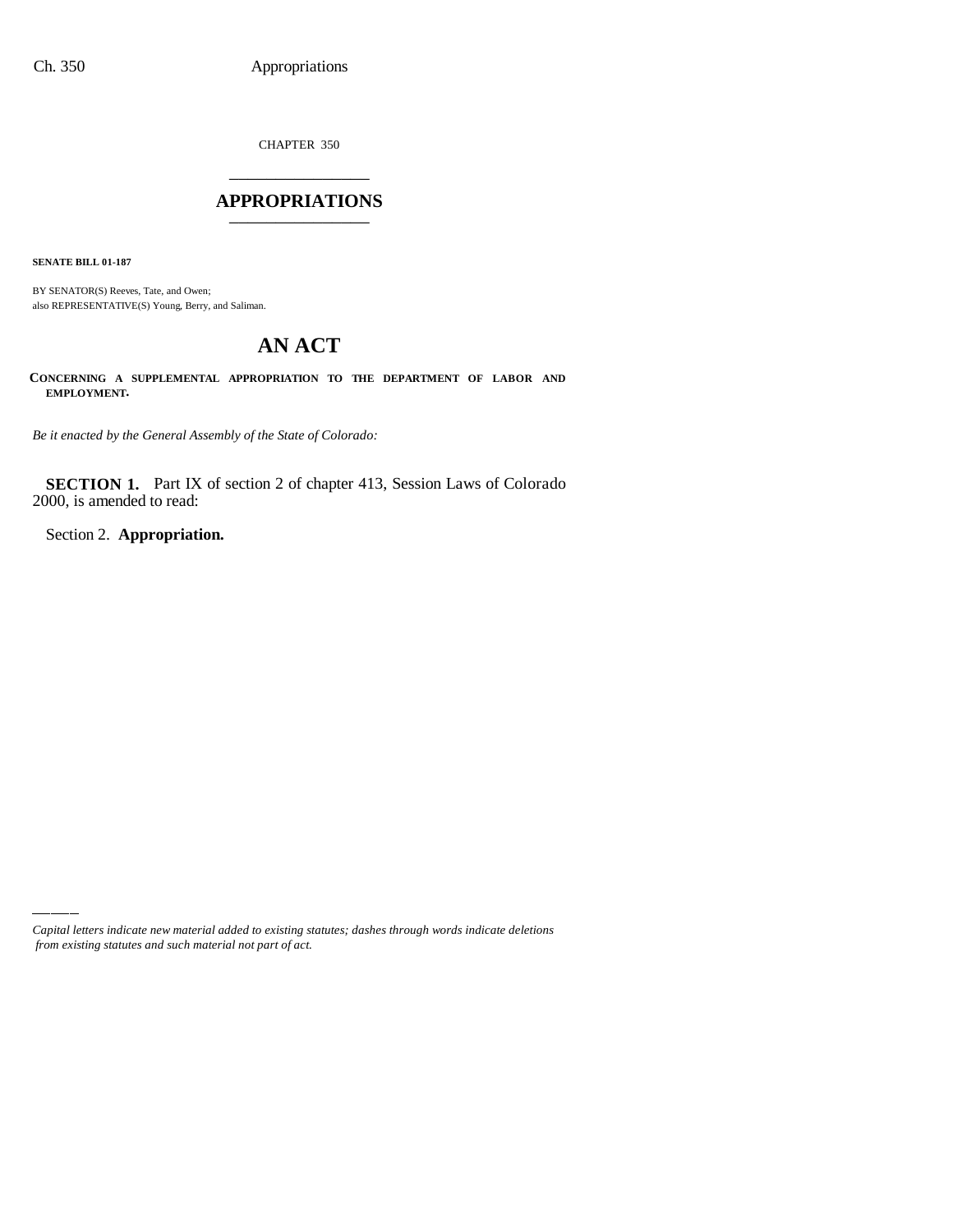CHAPTER 350 \_\_\_\_\_\_\_\_\_\_\_\_\_\_\_

### **APPROPRIATIONS** \_\_\_\_\_\_\_\_\_\_\_\_\_\_\_

**SENATE BILL 01-187**

BY SENATOR(S) Reeves, Tate, and Owen; also REPRESENTATIVE(S) Young, Berry, and Saliman.

# **AN ACT**

**CONCERNING A SUPPLEMENTAL APPROPRIATION TO THE DEPARTMENT OF LABOR AND EMPLOYMENT.**

*Be it enacted by the General Assembly of the State of Colorado:*

**SECTION 1.** Part IX of section 2 of chapter 413, Session Laws of Colorado 2000, is amended to read:

Section 2. **Appropriation.**

*Capital letters indicate new material added to existing statutes; dashes through words indicate deletions from existing statutes and such material not part of act.*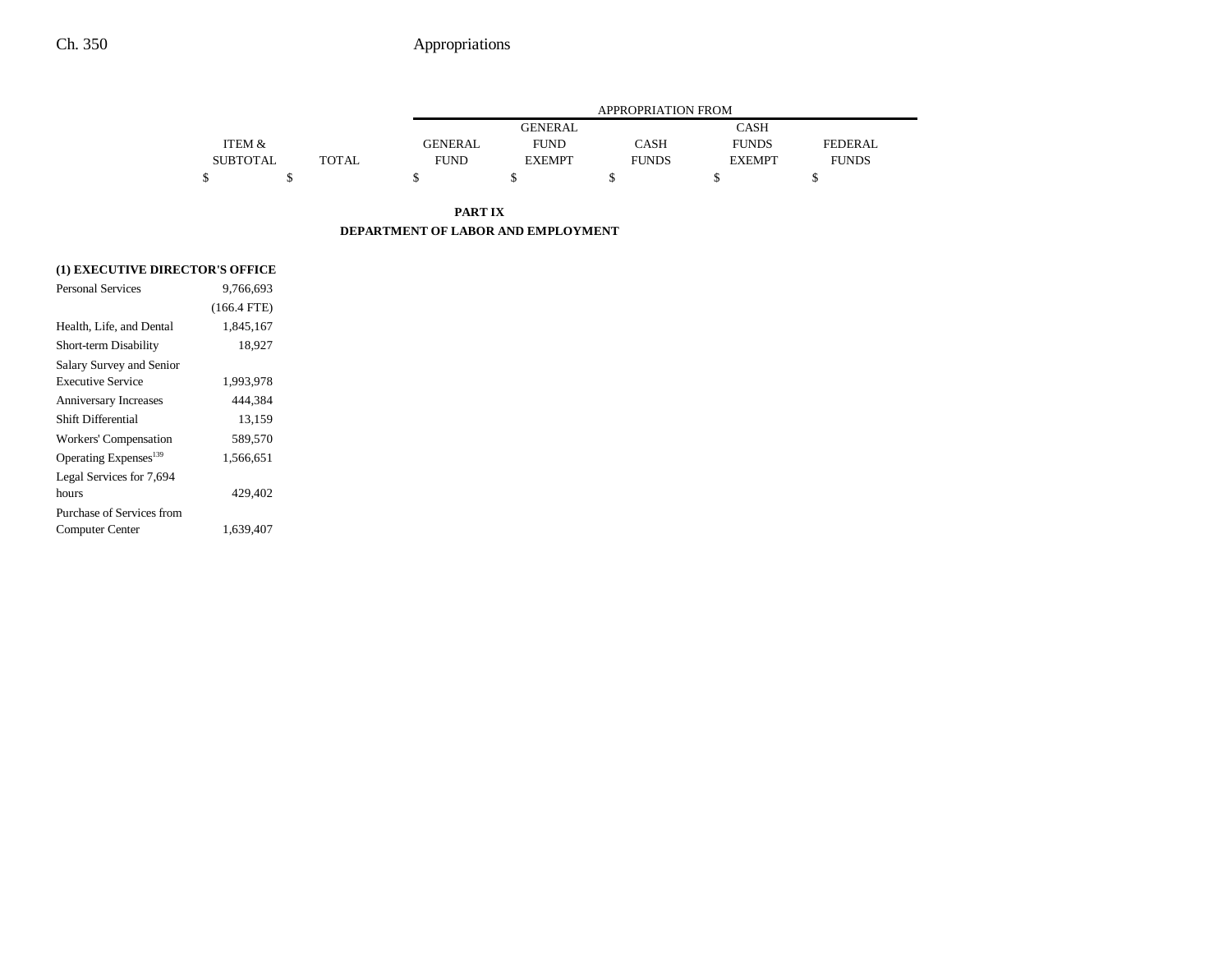|                 |              |                |                | APPROPRIATION FROM |               |                |
|-----------------|--------------|----------------|----------------|--------------------|---------------|----------------|
|                 |              |                | <b>GENERAL</b> |                    | CASH          |                |
| ITEM &          |              | <b>GENERAL</b> | <b>FUND</b>    | CASH               | <b>FUNDS</b>  | <b>FEDERAL</b> |
| <b>SUBTOTAL</b> | <b>TOTAL</b> | <b>FUND</b>    | <b>EXEMPT</b>  | <b>FUNDS</b>       | <b>EXEMPT</b> | <b>FUNDS</b>   |
|                 |              |                |                |                    |               |                |

**PART IX DEPARTMENT OF LABOR AND EMPLOYMENT**

### **(1) EXECUTIVE DIRECTOR'S OFFICE**

| 9,766,693     |  |
|---------------|--|
| $(166.4$ FTE) |  |
| 1,845,167     |  |
| 18,927        |  |
|               |  |
| 1,993,978     |  |
| 444,384       |  |
| 13,159        |  |
| 589,570       |  |
| 1,566,651     |  |
|               |  |
| 429.402       |  |
|               |  |
| 1,639,407     |  |
|               |  |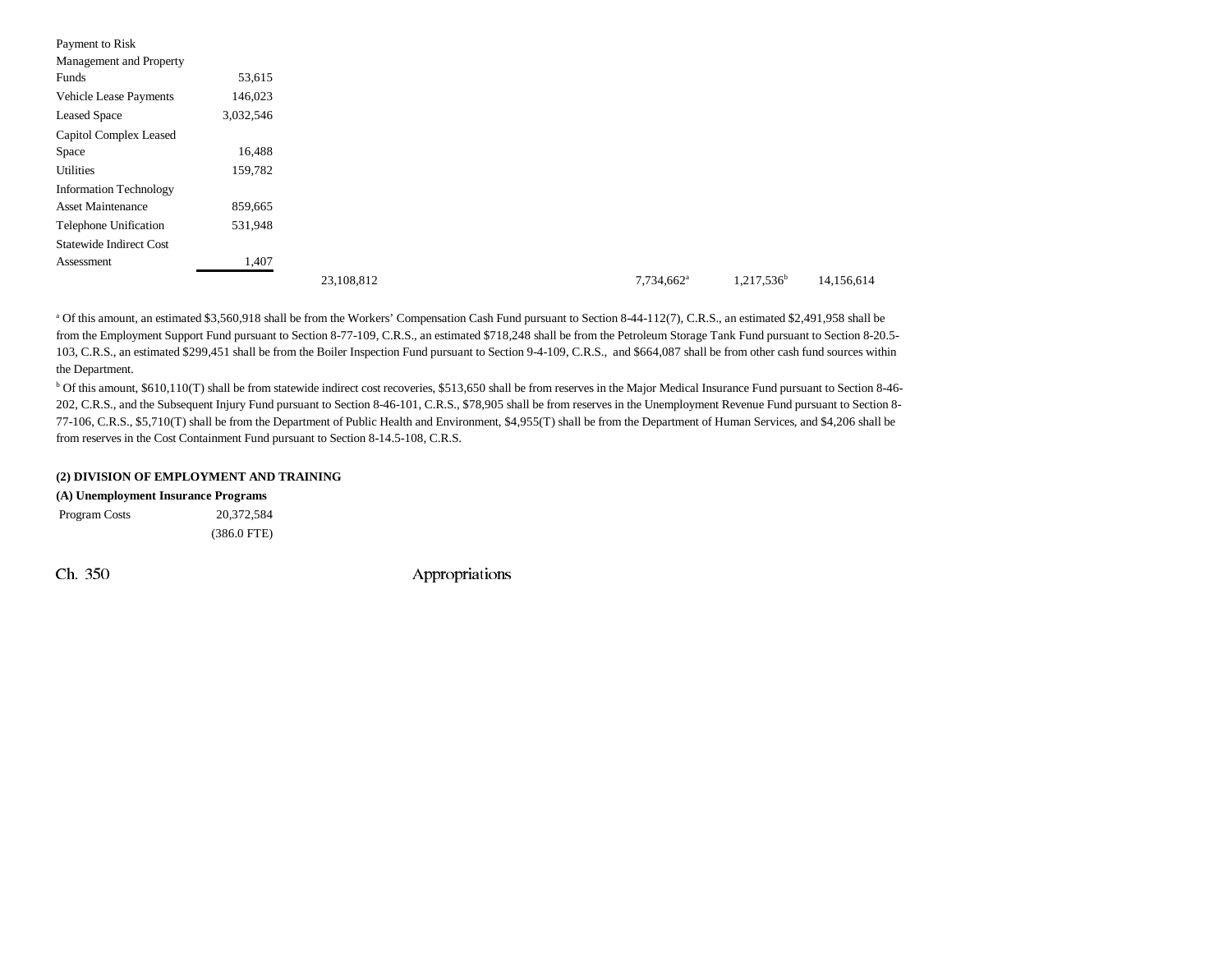| Payment to Risk                |           |            |  |                        |  |
|--------------------------------|-----------|------------|--|------------------------|--|
| Management and Property        |           |            |  |                        |  |
| Funds                          | 53,615    |            |  |                        |  |
| Vehicle Lease Payments         | 146,023   |            |  |                        |  |
| <b>Leased Space</b>            | 3,032,546 |            |  |                        |  |
| Capitol Complex Leased         |           |            |  |                        |  |
| Space                          | 16,488    |            |  |                        |  |
| <b>Utilities</b>               | 159,782   |            |  |                        |  |
| <b>Information Technology</b>  |           |            |  |                        |  |
| <b>Asset Maintenance</b>       | 859,665   |            |  |                        |  |
| Telephone Unification          | 531,948   |            |  |                        |  |
| <b>Statewide Indirect Cost</b> |           |            |  |                        |  |
| Assessment                     | 1,407     |            |  |                        |  |
|                                |           | 23,108,812 |  | 7,734,662 <sup>a</sup> |  |

<sup>a</sup> Of this amount, an estimated \$3,560,918 shall be from the Workers' Compensation Cash Fund pursuant to Section 8-44-112(7), C.R.S., an estimated \$2,491,958 shall be from the Employment Support Fund pursuant to Section 8-77-109, C.R.S., an estimated \$718,248 shall be from the Petroleum Storage Tank Fund pursuant to Section 8-20.5- 103, C.R.S., an estimated \$299,451 shall be from the Boiler Inspection Fund pursuant to Section 9-4-109, C.R.S., and \$664,087 shall be from other cash fund sources within the Department.

b Of this amount, \$610,110(T) shall be from statewide indirect cost recoveries, \$513,650 shall be from reserves in the Major Medical Insurance Fund pursuant to Section 8-46- 202, C.R.S., and the Subsequent Injury Fund pursuant to Section 8-46-101, C.R.S., \$78,905 shall be from reserves in the Unemployment Revenue Fund pursuant to Section 8- 77-106, C.R.S., \$5,710(T) shall be from the Department of Public Health and Environment, \$4,955(T) shall be from the Department of Human Services, and \$4,206 shall be from reserves in the Cost Containment Fund pursuant to Section 8-14.5-108, C.R.S.

| (2) DIVISION OF EMPLOYMENT AND TRAINING |
|-----------------------------------------|
|-----------------------------------------|

### **(A) Unemployment Insurance Programs**

 Program Costs 20,372,584 (386.0 FTE)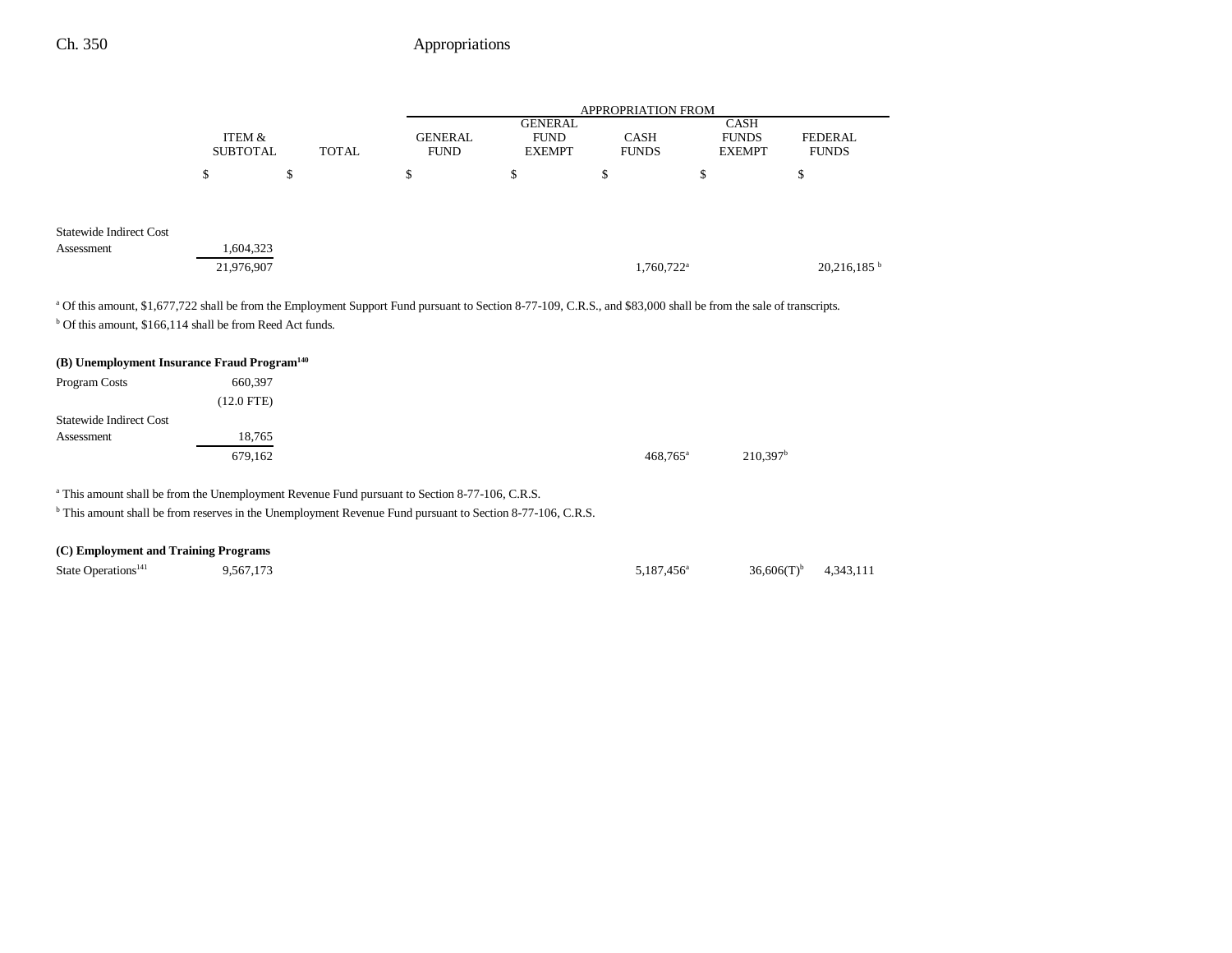|                                                                                                                                                                              |                 |              |                |                | <b>APPROPRIATION FROM</b> |                        |                           |
|------------------------------------------------------------------------------------------------------------------------------------------------------------------------------|-----------------|--------------|----------------|----------------|---------------------------|------------------------|---------------------------|
|                                                                                                                                                                              |                 |              |                | <b>GENERAL</b> |                           | <b>CASH</b>            |                           |
|                                                                                                                                                                              | ITEM &          |              | <b>GENERAL</b> | <b>FUND</b>    | <b>CASH</b>               | <b>FUNDS</b>           | <b>FEDERAL</b>            |
|                                                                                                                                                                              | <b>SUBTOTAL</b> | <b>TOTAL</b> | <b>FUND</b>    | <b>EXEMPT</b>  | <b>FUNDS</b>              | <b>EXEMPT</b>          | <b>FUNDS</b>              |
|                                                                                                                                                                              | \$              | \$           | \$             | \$             | \$                        | \$                     | \$                        |
| <b>Statewide Indirect Cost</b>                                                                                                                                               |                 |              |                |                |                           |                        |                           |
| Assessment                                                                                                                                                                   | 1,604,323       |              |                |                |                           |                        |                           |
|                                                                                                                                                                              |                 |              |                |                |                           |                        |                           |
|                                                                                                                                                                              | 21,976,907      |              |                |                | 1,760,722 <sup>a</sup>    |                        | $20,216,185$ <sup>b</sup> |
|                                                                                                                                                                              |                 |              |                |                |                           |                        |                           |
| <sup>a</sup> Of this amount, \$1,677,722 shall be from the Employment Support Fund pursuant to Section 8-77-109, C.R.S., and \$83,000 shall be from the sale of transcripts. |                 |              |                |                |                           |                        |                           |
| <sup>b</sup> Of this amount, \$166,114 shall be from Reed Act funds.                                                                                                         |                 |              |                |                |                           |                        |                           |
|                                                                                                                                                                              |                 |              |                |                |                           |                        |                           |
| (B) Unemployment Insurance Fraud Program <sup>140</sup>                                                                                                                      |                 |              |                |                |                           |                        |                           |
| Program Costs                                                                                                                                                                | 660,397         |              |                |                |                           |                        |                           |
|                                                                                                                                                                              | $(12.0$ FTE)    |              |                |                |                           |                        |                           |
| <b>Statewide Indirect Cost</b>                                                                                                                                               |                 |              |                |                |                           |                        |                           |
| Assessment                                                                                                                                                                   | 18,765          |              |                |                |                           |                        |                           |
|                                                                                                                                                                              | 679,162         |              |                |                | $468,765^{\circ}$         | $210,397$ <sup>b</sup> |                           |
|                                                                                                                                                                              |                 |              |                |                |                           |                        |                           |
| <sup>a</sup> This amount shall be from the Unemployment Revenue Fund pursuant to Section 8-77-106, C.R.S.                                                                    |                 |              |                |                |                           |                        |                           |

b This amount shall be from reserves in the Unemployment Revenue Fund pursuant to Section 8-77-106, C.R.S.

## **(C) Employment and Training Programs**

| State Operations <sup>141</sup> | 9,567,173 | $5,187,456^{\circ}$ | $36,606(T)$ <sup>b</sup> | 4,343,111 |
|---------------------------------|-----------|---------------------|--------------------------|-----------|
|                                 |           |                     |                          |           |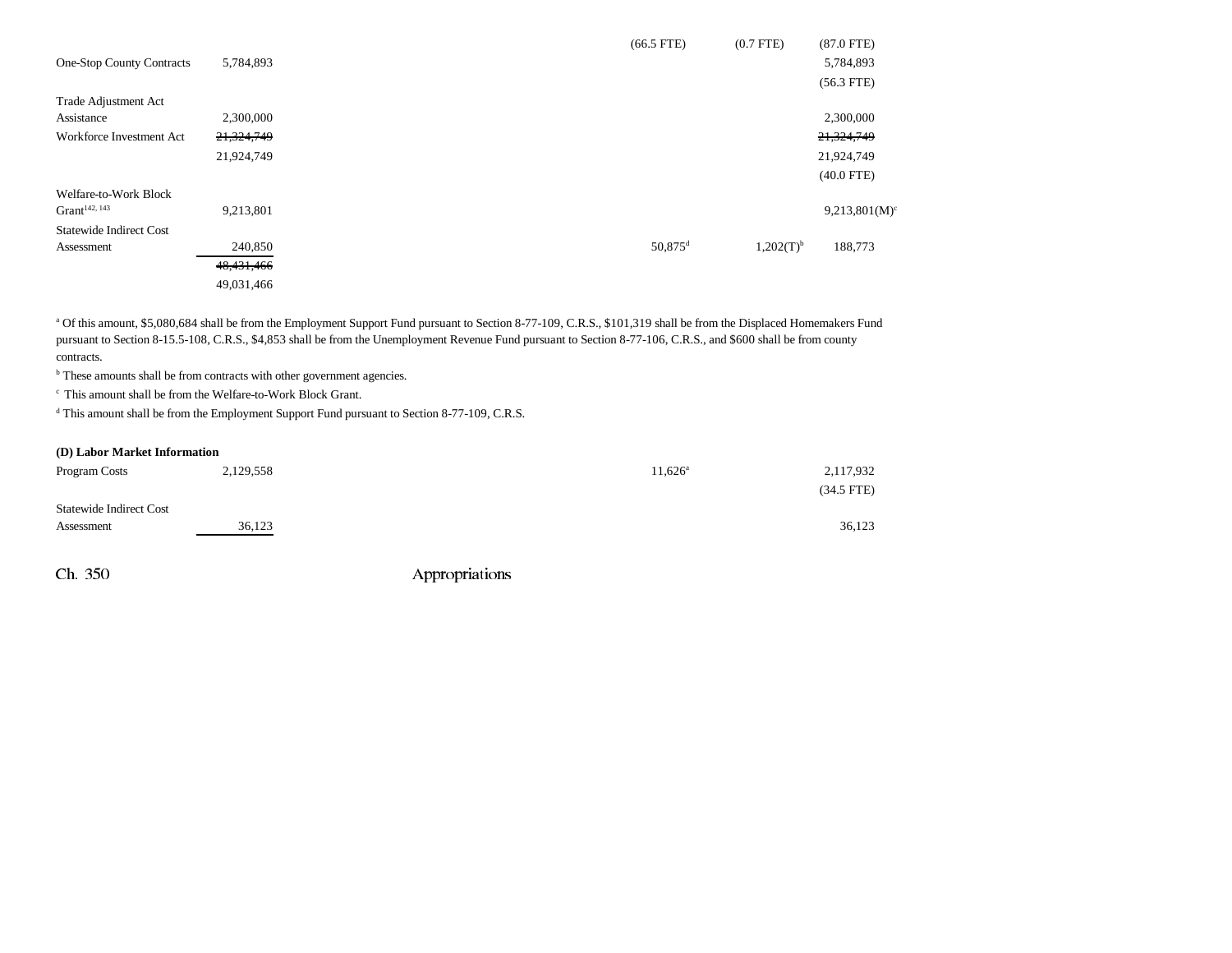|                                  |            | $(66.5$ FTE)<br>$(0.7$ FTE $)$          | $(87.0$ FTE)     |
|----------------------------------|------------|-----------------------------------------|------------------|
| <b>One-Stop County Contracts</b> | 5,784,893  |                                         | 5,784,893        |
|                                  |            |                                         | $(56.3$ FTE)     |
| Trade Adjustment Act             |            |                                         |                  |
| Assistance                       | 2,300,000  |                                         | 2,300,000        |
| Workforce Investment Act         | 21,324,749 |                                         | 21,324,749       |
|                                  | 21,924,749 |                                         | 21,924,749       |
|                                  |            |                                         | $(40.0$ FTE)     |
| Welfare-to-Work Block            |            |                                         |                  |
| Gran <sup>142, 143</sup>         | 9,213,801  |                                         | $9,213,801(M)^c$ |
| <b>Statewide Indirect Cost</b>   |            |                                         |                  |
| Assessment                       | 240,850    | $50,875$ <sup>d</sup><br>$1,202(T)^{b}$ | 188,773          |
|                                  | 48,431,466 |                                         |                  |
|                                  | 49,031,466 |                                         |                  |

<sup>a</sup> Of this amount, \$5,080,684 shall be from the Employment Support Fund pursuant to Section 8-77-109, C.R.S., \$101,319 shall be from the Displaced Homemakers Fund pursuant to Section 8-15.5-108, C.R.S., \$4,853 shall be from the Unemployment Revenue Fund pursuant to Section 8-77-106, C.R.S., and \$600 shall be from county contracts.

<sup>b</sup> These amounts shall be from contracts with other government agencies.

c This amount shall be from the Welfare-to-Work Block Grant.

<sup>d</sup> This amount shall be from the Employment Support Fund pursuant to Section 8-77-109, C.R.S.

#### **(D) Labor Market Information**

| Program Costs                  | 2,129,558 | 2,117,932<br>$11,626^{\circ}$ |  |
|--------------------------------|-----------|-------------------------------|--|
|                                |           | $(34.5$ FTE)                  |  |
| <b>Statewide Indirect Cost</b> |           |                               |  |
| Assessment                     | 36,123    | 36,123                        |  |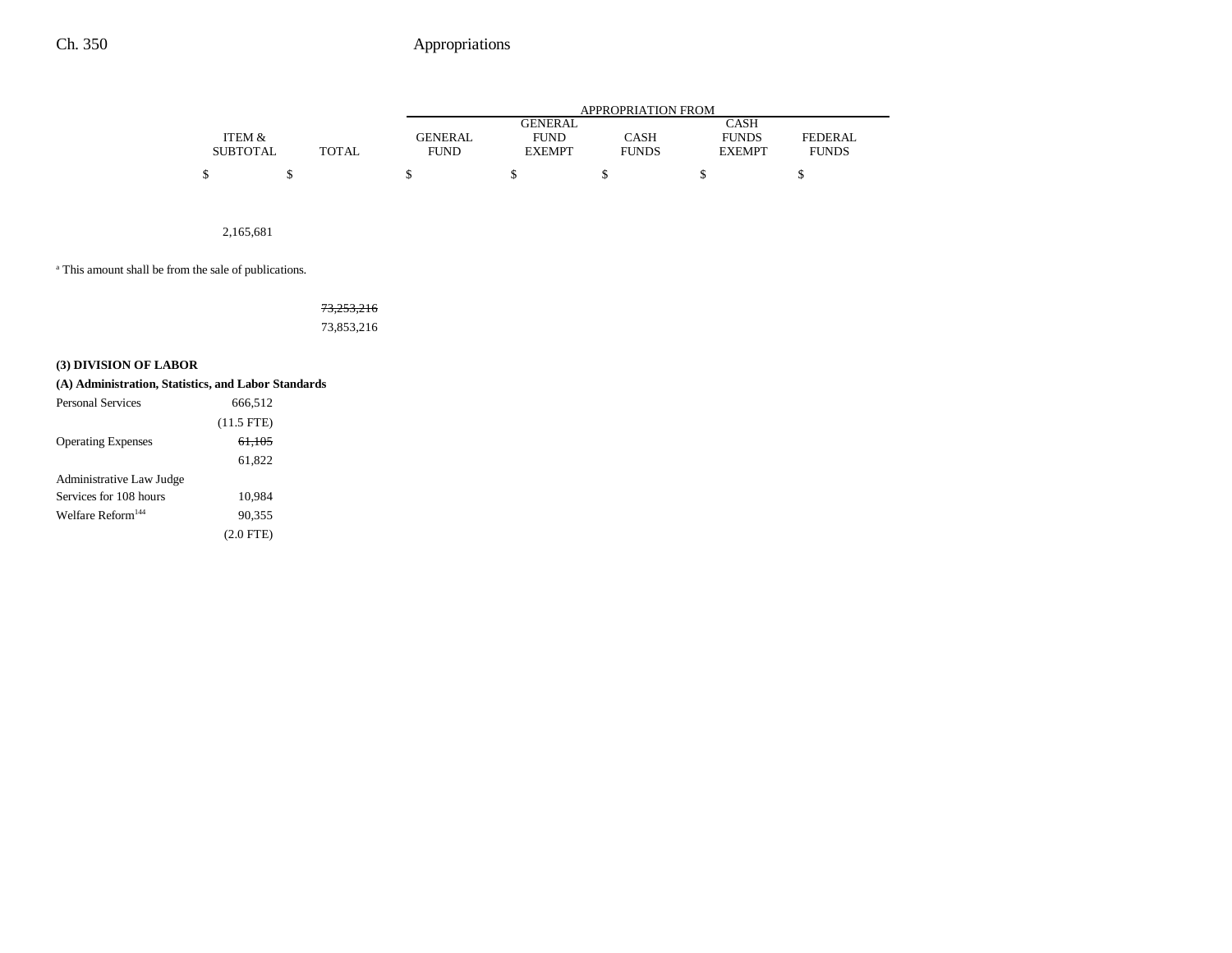|                 |              |             |               | APPROPRIATION FROM |               |                |
|-----------------|--------------|-------------|---------------|--------------------|---------------|----------------|
|                 |              |             | GENERAL       |                    | CASH          |                |
| ITEM &          |              | GENERAL     | <b>FUND</b>   | CASH               | <b>FUNDS</b>  | <b>FEDERAL</b> |
| <b>SUBTOTAL</b> | <b>TOTAL</b> | <b>FUND</b> | <b>EXEMPT</b> | <b>FUNDS</b>       | <b>EXEMPT</b> | <b>FUNDS</b>   |
| \$              |              |             |               |                    |               |                |

2,165,681

a This amount shall be from the sale of publications.

73,253,216 73,853,216

### **(3) DIVISION OF LABOR**

| (A) Administration, Statistics, and Labor Standards |                   |  |
|-----------------------------------------------------|-------------------|--|
| <b>Personal Services</b>                            | 666.512           |  |
|                                                     | $(11.5$ FTE)      |  |
| <b>Operating Expenses</b>                           | <del>61,105</del> |  |
|                                                     | 61,822            |  |
| Administrative Law Judge                            |                   |  |
| Services for 108 hours                              | 10.984            |  |
| Welfare Reform <sup>144</sup>                       | 90.355            |  |
|                                                     | $(2.0$ FTE)       |  |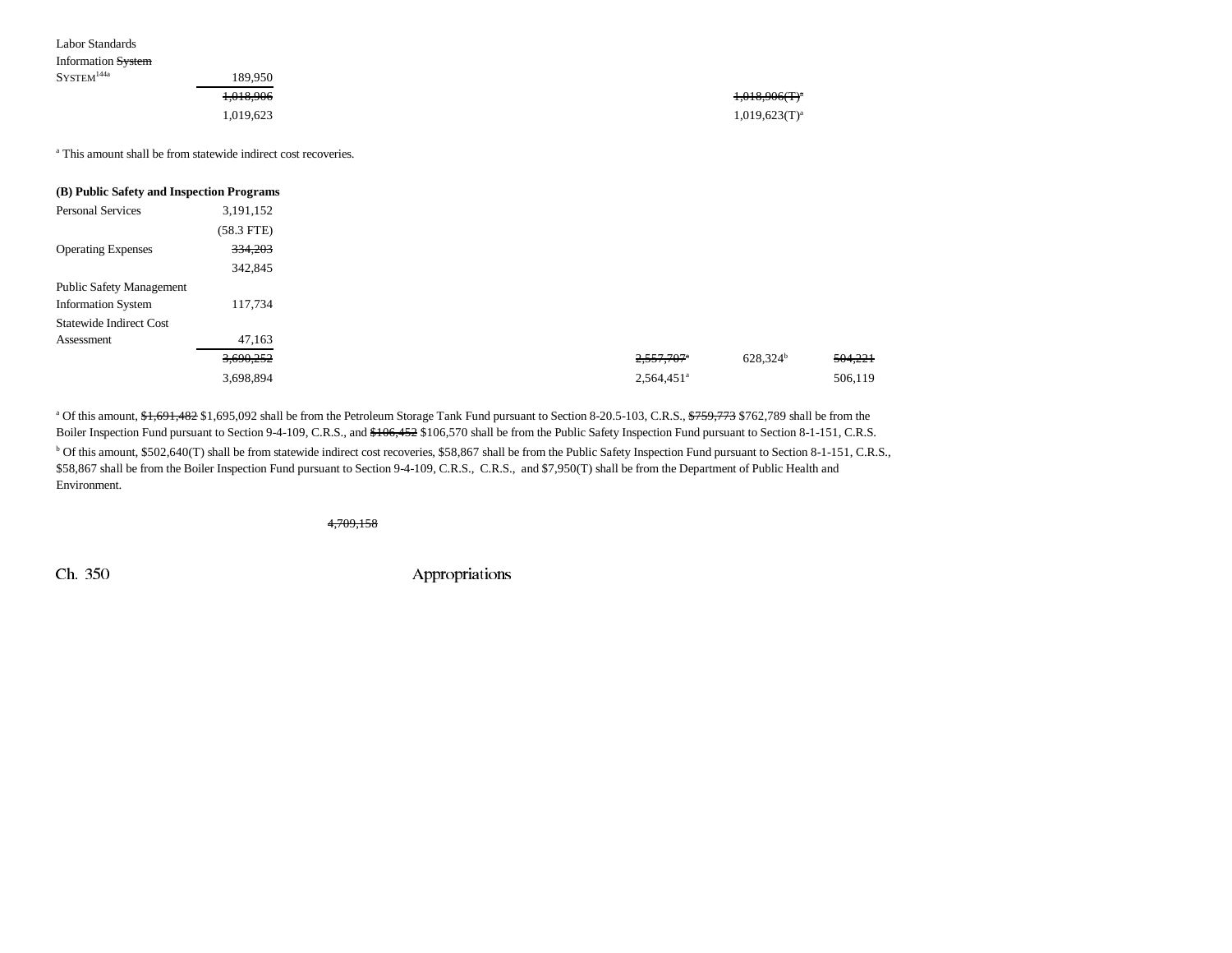| Information <del>System</del> |           |                    |
|-------------------------------|-----------|--------------------|
| ${\rm SYSTEM}^{144a}$ .       | 189.950   |                    |
|                               | 1,018,906 | $1,018,906(T)^{a}$ |
|                               | 1,019,623 | $1,019,623(T)^a$   |
|                               |           |                    |

<sup>a</sup> This amount shall be from statewide indirect cost recoveries.

| (B) Public Safety and Inspection Programs |              |
|-------------------------------------------|--------------|
| <b>Personal Services</b>                  | 3,191,152    |
|                                           | $(58.3$ FTE) |
| <b>Operating Expenses</b>                 | 334,203      |
|                                           | 342,845      |
| <b>Public Safety Management</b>           |              |
| <b>Information System</b>                 | 117,734      |
| <b>Statewide Indirect Cost</b>            |              |
| Assessment                                | 47,163       |
|                                           | 3,690,252    |
|                                           | 3,698,894    |

<sup>a</sup> Of this amount, \$1,691,482 \$1,695,092 shall be from the Petroleum Storage Tank Fund pursuant to Section 8-20.5-103, C.R.S., \$759,773 \$762,789 shall be from the Boiler Inspection Fund pursuant to Section 9-4-109, C.R.S., and  $$106,452$106,570$  shall be from the Public Safety Inspection Fund pursuant to Section 8-1-151, C.R.S. <sup>b</sup> Of this amount, \$502,640(T) shall be from statewide indirect cost recoveries, \$58,867 shall be from the Public Safety Inspection Fund pursuant to Section 8-1-151, C.R.S., \$58,867 shall be from the Boiler Inspection Fund pursuant to Section 9-4-109, C.R.S., C.R.S., and \$7,950(T) shall be from the Department of Public Health and Environment.

4,709,158

Labor Standards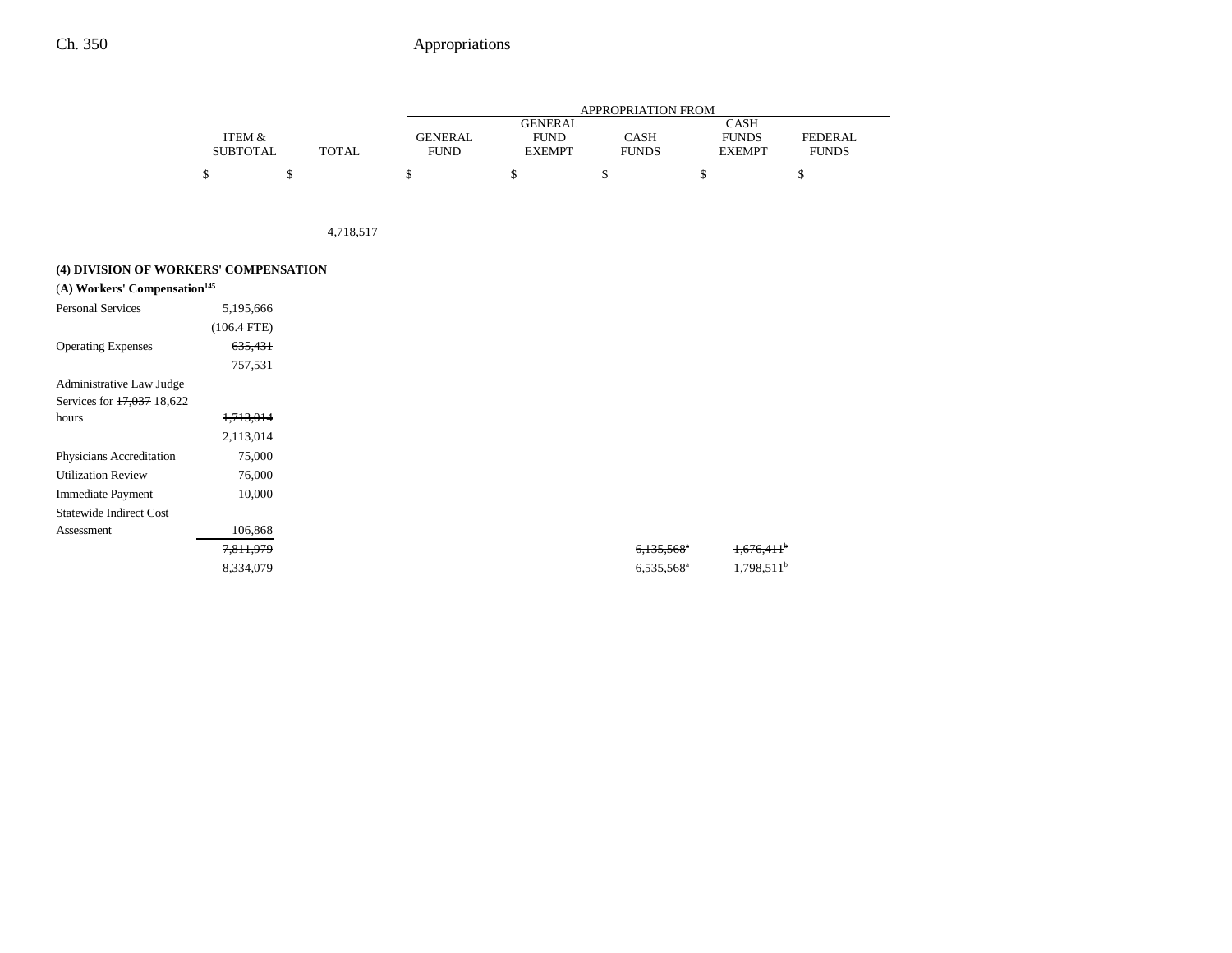|                 |       | APPROPRIATION FROM |                |              |               |                |
|-----------------|-------|--------------------|----------------|--------------|---------------|----------------|
|                 |       |                    | <b>GENERAL</b> |              | CASH          |                |
| ITEM &          |       | <b>GENERAL</b>     | <b>FUND</b>    | CASH         | <b>FUNDS</b>  | <b>FEDERAL</b> |
| <b>SUBTOTAL</b> | TOTAL | <b>FUND</b>        | <b>EXEMPT</b>  | <b>FUNDS</b> | <b>EXEMPT</b> | <b>FUNDS</b>   |
|                 |       |                    |                |              |               |                |

4,718,517

### **(4) DIVISION OF WORKERS' COMPENSATION**

| (A) Workers' Compensation <sup>145</sup> |               |
|------------------------------------------|---------------|
| <b>Personal Services</b>                 | 5,195,666     |
|                                          | $(106.4$ FTE) |
| <b>Operating Expenses</b>                | 635,431       |
|                                          | 757,531       |
| Administrative Law Judge                 |               |
| Services for 17,037 18,622               |               |
| hours                                    | 1,713,014     |
|                                          | 2,113,014     |
| Physicians Accreditation                 | 75,000        |
| <b>Utilization Review</b>                | 76,000        |
| <b>Immediate Payment</b>                 | 10,000        |
| <b>Statewide Indirect Cost</b>           |               |
| Assessment                               | 106,868       |
|                                          | 7,811,979     |
|                                          | 8,334,079     |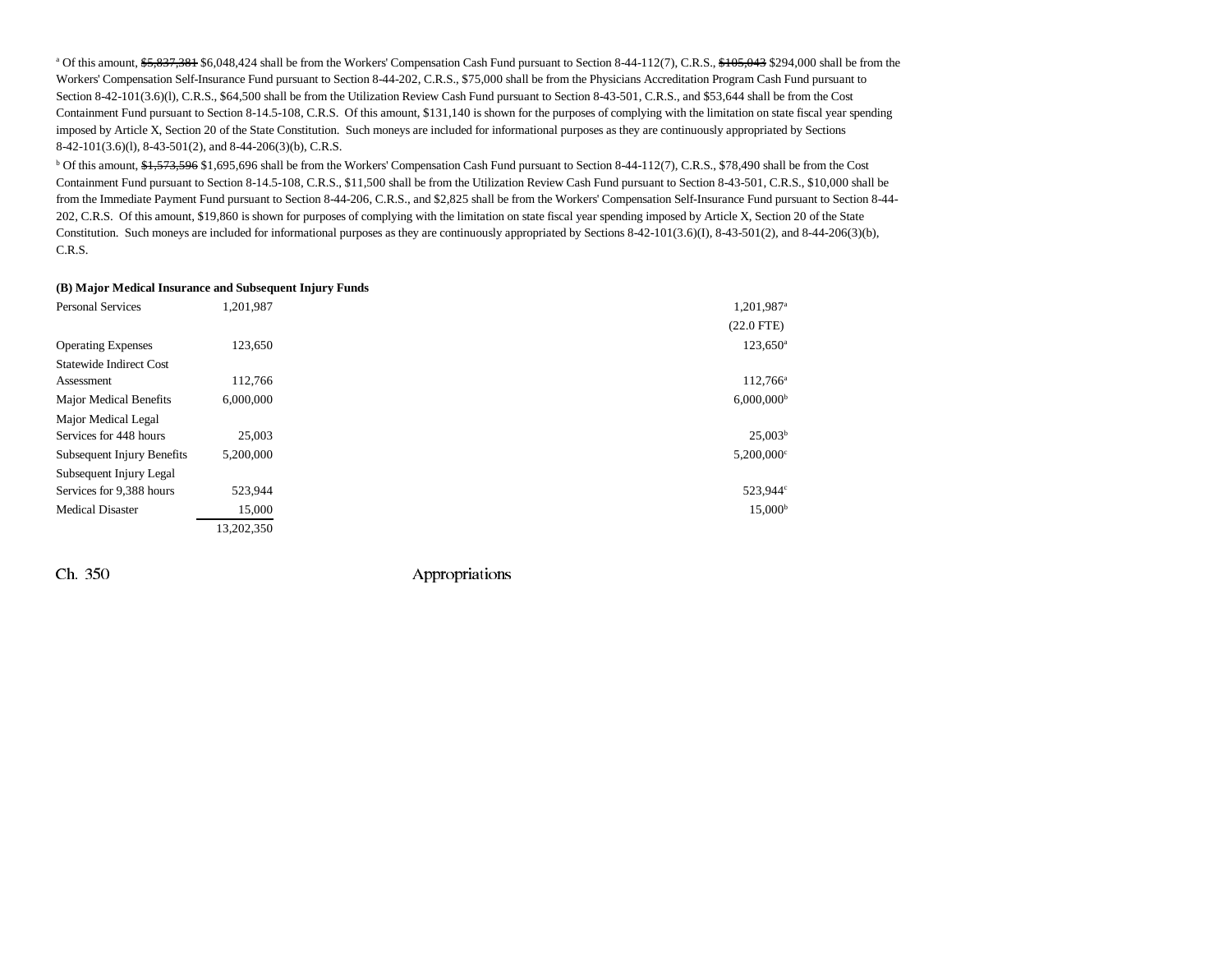<sup>a</sup> Of this amount, \$5,837,381 \$6,048,424 shall be from the Workers' Compensation Cash Fund pursuant to Section 8-44-112(7), C.R.S., \$105,043 \$294,000 shall be from the Workers' Compensation Self-Insurance Fund pursuant to Section 8-44-202, C.R.S., \$75,000 shall be from the Physicians Accreditation Program Cash Fund pursuant to Section 8-42-101(3.6)(l), C.R.S., \$64,500 shall be from the Utilization Review Cash Fund pursuant to Section 8-43-501, C.R.S., and \$53,644 shall be from the Cost Containment Fund pursuant to Section 8-14.5-108, C.R.S. Of this amount, \$131,140 is shown for the purposes of complying with the limitation on state fiscal year spending imposed by Article X, Section 20 of the State Constitution. Such moneys are included for informational purposes as they are continuously appropriated by Sections 8-42-101(3.6)(l), 8-43-501(2), and 8-44-206(3)(b), C.R.S.

<sup>b</sup> Of this amount, \$1,573,596 \$1,695,696 shall be from the Workers' Compensation Cash Fund pursuant to Section 8-44-112(7), C.R.S., \$78,490 shall be from the Cost Containment Fund pursuant to Section 8-14.5-108, C.R.S., \$11,500 shall be from the Utilization Review Cash Fund pursuant to Section 8-43-501, C.R.S., \$10,000 shall be from the Immediate Payment Fund pursuant to Section 8-44-206, C.R.S., and \$2,825 shall be from the Workers' Compensation Self-Insurance Fund pursuant to Section 8-44-202, C.R.S. Of this amount, \$19,860 is shown for purposes of complying with the limitation on state fiscal year spending imposed by Article X, Section 20 of the State Constitution. Such moneys are included for informational purposes as they are continuously appropriated by Sections 8-42-101(3.6)(I), 8-43-501(2), and 8-44-206(3)(b), C.R.S.

#### **(B) Major Medical Insurance and Subsequent Injury Funds**

| <b>Personal Services</b>       | 1,201,987  | 1,201,987 <sup>a</sup>   |
|--------------------------------|------------|--------------------------|
|                                |            | $(22.0$ FTE)             |
| <b>Operating Expenses</b>      | 123,650    | $123,650^{\circ}$        |
| <b>Statewide Indirect Cost</b> |            |                          |
| Assessment                     | 112,766    | 112,766 <sup>a</sup>     |
| <b>Major Medical Benefits</b>  | 6,000,000  | $6,000,000$ <sup>b</sup> |
| Major Medical Legal            |            |                          |
| Services for 448 hours         | 25,003     | 25.003 <sup>b</sup>      |
| Subsequent Injury Benefits     | 5,200,000  | $5,200,000$ <sup>c</sup> |
| Subsequent Injury Legal        |            |                          |
| Services for 9,388 hours       | 523,944    | 523,944°                 |
| <b>Medical Disaster</b>        | 15,000     | $15,000^{\rm b}$         |
|                                | 13.202.350 |                          |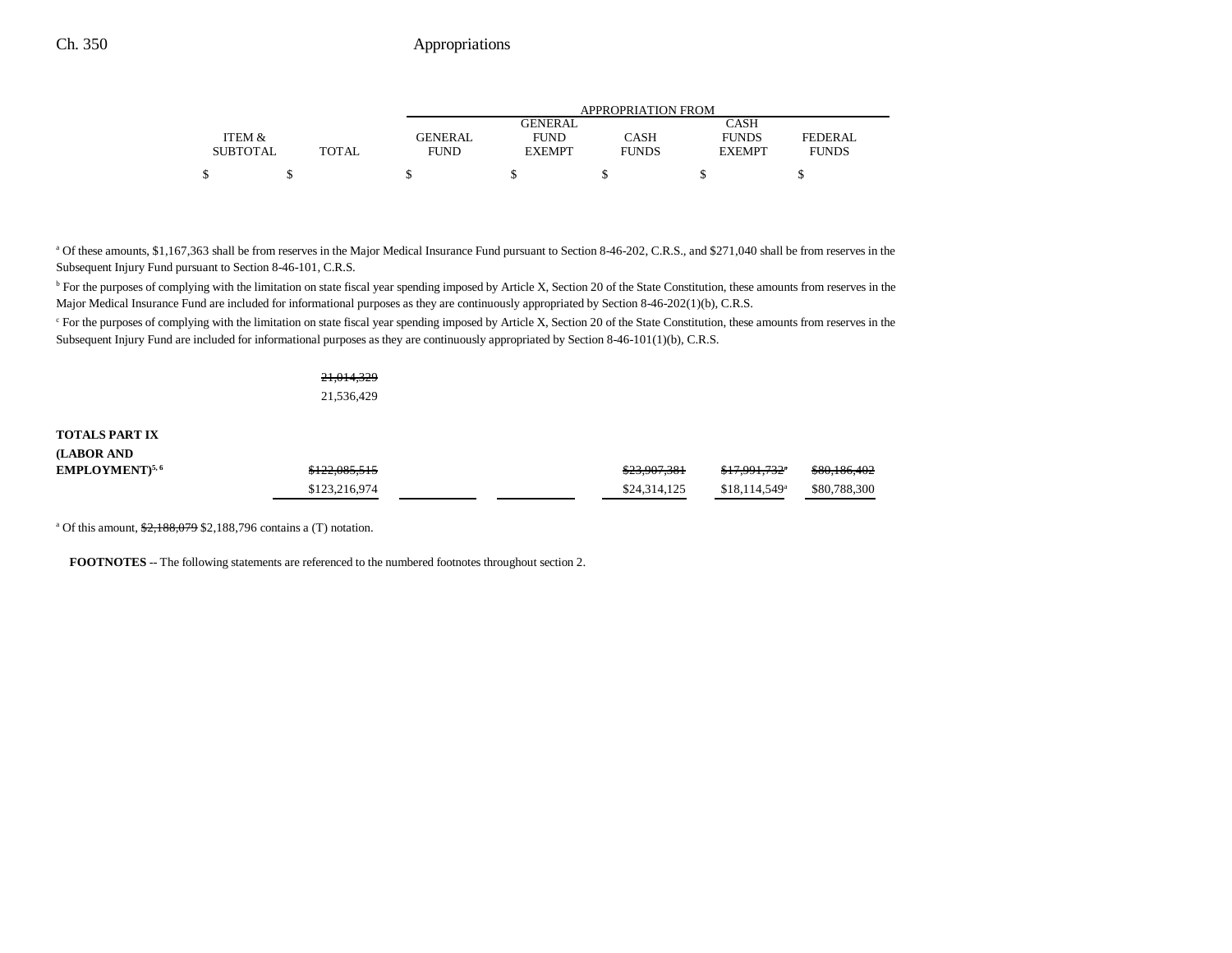|                 |       | APPROPRIATION FROM |                |              |               |              |  |
|-----------------|-------|--------------------|----------------|--------------|---------------|--------------|--|
|                 |       |                    | <b>GENERAL</b> |              | CASH          |              |  |
| ITEM &          |       | GENERAL            | <b>FUND</b>    | CASH         | <b>FUNDS</b>  | FEDERAL      |  |
| <b>SUBTOTAL</b> | TOTAL | <b>FUND</b>        | <b>EXEMPT</b>  | <b>FUNDS</b> | <b>EXEMPT</b> | <b>FUNDS</b> |  |
|                 |       |                    |                |              |               |              |  |

<sup>a</sup> Of these amounts, \$1,167,363 shall be from reserves in the Major Medical Insurance Fund pursuant to Section 8-46-202, C.R.S., and \$271,040 shall be from reserves in the Subsequent Injury Fund pursuant to Section 8-46-101, C.R.S.

<sup>b</sup> For the purposes of complying with the limitation on state fiscal year spending imposed by Article X, Section 20 of the State Constitution, these amounts from reserves in the Major Medical Insurance Fund are included for informational purposes as they are continuously appropriated by Section 8-46-202(1)(b), C.R.S.

<sup>c</sup> For the purposes of complying with the limitation on state fiscal year spending imposed by Article X, Section 20 of the State Constitution, these amounts from reserves in the Subsequent Injury Fund are included for informational purposes as they are continuously appropriated by Section 8-46-101(1)(b), C.R.S.

> 21,014,329 21,536,429

## **TOTALS PART IX(LABOR AND**

| EMPLOYMENT) <sup>5, 6</sup> | \$122,085,515 |  | \$23,907,381 | <del>\$17.991.732</del> °  | \$80,186,402 |
|-----------------------------|---------------|--|--------------|----------------------------|--------------|
|                             | \$123,216,974 |  | \$24,314,125 | $$18.114.549$ <sup>a</sup> | \$80,788,300 |

<sup>a</sup> Of this amount, \$2,188,079 \$2,188,796 contains a (T) notation.

**FOOTNOTES** -- The following statements are referenced to the numbered footnotes throughout section 2.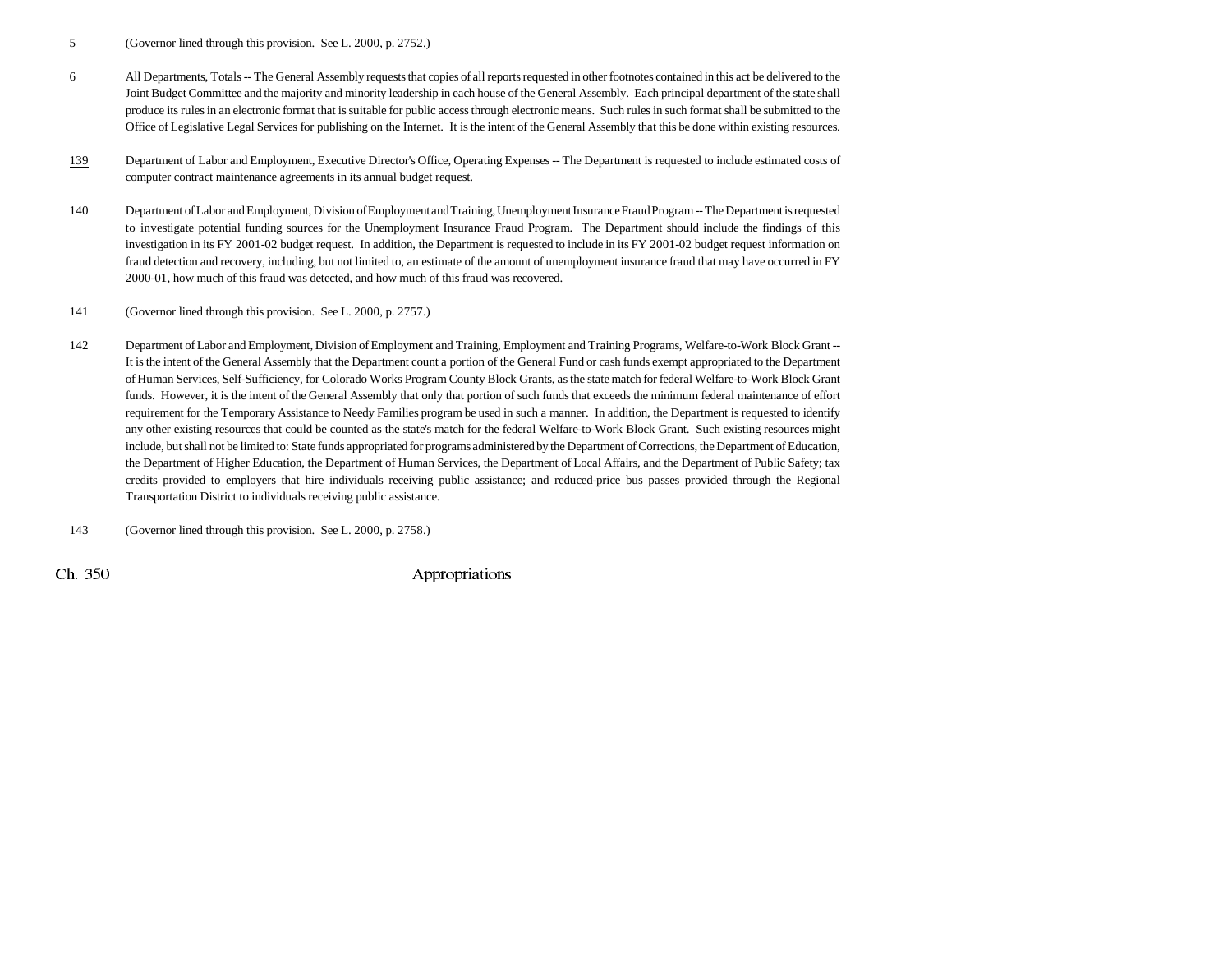- 5 (Governor lined through this provision. See L. 2000, p. 2752.)
- 6 All Departments, Totals -- The General Assembly requests that copies of all reports requested in other footnotes contained in this act be delivered to the Joint Budget Committee and the majority and minority leadership in each house of the General Assembly. Each principal department of the state shall produce its rules in an electronic format that is suitable for public access through electronic means. Such rules in such format shall be submitted to the Office of Legislative Legal Services for publishing on the Internet. It is the intent of the General Assembly that this be done within existing resources.
- 139 Department of Labor and Employment, Executive Director's Office, Operating Expenses -- The Department is requested to include estimated costs of computer contract maintenance agreements in its annual budget request.
- 140 Department of Labor and Employment, Division of Employment and Training, Unemployment Insurance Fraud Program -- The Department is requested to investigate potential funding sources for the Unemployment Insurance Fraud Program. The Department should include the findings of this investigation in its FY 2001-02 budget request. In addition, the Department is requested to include in its FY 2001-02 budget request information on fraud detection and recovery, including, but not limited to, an estimate of the amount of unemployment insurance fraud that may have occurred in FY 2000-01, how much of this fraud was detected, and how much of this fraud was recovered.
- 141 (Governor lined through this provision. See L. 2000, p. 2757.)
- 142 Department of Labor and Employment, Division of Employment and Training, Employment and Training Programs, Welfare-to-Work Block Grant -- It is the intent of the General Assembly that the Department count a portion of the General Fund or cash funds exempt appropriated to the Department of Human Services, Self-Sufficiency, for Colorado Works Program County Block Grants, as the state match for federal Welfare-to-Work Block Grant funds. However, it is the intent of the General Assembly that only that portion of such funds that exceeds the minimum federal maintenance of effort requirement for the Temporary Assistance to Needy Families program be used in such a manner. In addition, the Department is requested to identify any other existing resources that could be counted as the state's match for the federal Welfare-to-Work Block Grant. Such existing resources might include, but shall not be limited to: State funds appropriated for programs administered by the Department of Corrections, the Department of Education, the Department of Higher Education, the Department of Human Services, the Department of Local Affairs, and the Department of Public Safety; tax credits provided to employers that hire individuals receiving public assistance; and reduced-price bus passes provided through the Regional Transportation District to individuals receiving public assistance.

143 (Governor lined through this provision. See L. 2000, p. 2758.)